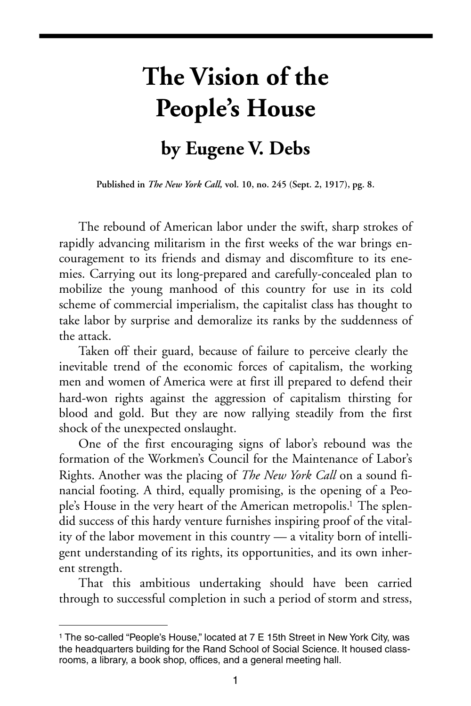## **The Vision of the People's House by Eugene V. Debs**

**Published in** *The New York Call,* **vol. 10, no. 245 (Sept. 2, 1917), pg. 8.**

The rebound of American labor under the swift, sharp strokes of rapidly advancing militarism in the first weeks of the war brings encouragement to its friends and dismay and discomfiture to its enemies. Carrying out its long-prepared and carefully-concealed plan to mobilize the young manhood of this country for use in its cold scheme of commercial imperialism, the capitalist class has thought to take labor by surprise and demoralize its ranks by the suddenness of the attack.

Taken off their guard, because of failure to perceive clearly the inevitable trend of the economic forces of capitalism, the working men and women of America were at first ill prepared to defend their hard-won rights against the aggression of capitalism thirsting for blood and gold. But they are now rallying steadily from the first shock of the unexpected onslaught.

One of the first encouraging signs of labor's rebound was the formation of the Workmen's Council for the Maintenance of Labor's Rights. Another was the placing of *The New York Call* on a sound financial footing. A third, equally promising, is the opening of a People's House in the very heart of the American metropolis.<sup>1</sup> The splendid success of this hardy venture furnishes inspiring proof of the vitality of the labor movement in this country — a vitality born of intelligent understanding of its rights, its opportunities, and its own inherent strength.

That this ambitious undertaking should have been carried through to successful completion in such a period of storm and stress,

<span id="page-0-0"></span><sup>1</sup> The so-called "People's House," located at 7 E 15th Street in New York City, was the headquarters building for the Rand School of Social Science. It housed classrooms, a library, a book shop, offices, and a general meeting hall.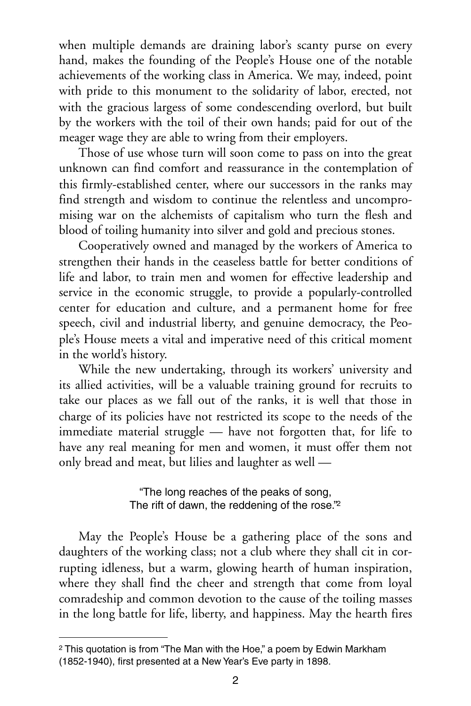when multiple demands are draining labor's scanty purse on every hand, makes the founding of the People's House one of the notable achievements of the working class in America. We may, indeed, point with pride to this monument to the solidarity of labor, erected, not with the gracious largess of some condescending overlord, but built by the workers with the toil of their own hands; paid for out of the meager wage they are able to wring from their employers.

Those of use whose turn will soon come to pass on into the great unknown can find comfort and reassurance in the contemplation of this firmly-established center, where our successors in the ranks may find strength and wisdom to continue the relentless and uncompromising war on the alchemists of capitalism who turn the flesh and blood of toiling humanity into silver and gold and precious stones.

Cooperatively owned and managed by the workers of America to strengthen their hands in the ceaseless battle for better conditions of life and labor, to train men and women for effective leadership and service in the economic struggle, to provide a popularly-controlled center for education and culture, and a permanent home for free speech, civil and industrial liberty, and genuine democracy, the People's House meets a vital and imperative need of this critical moment in the world's history.

While the new undertaking, through its workers' university and its allied activities, will be a valuable training ground for recruits to take our places as we fall out of the ranks, it is well that those in charge of its policies have not restricted its scope to the needs of the immediate material struggle — have not forgotten that, for life to have any real meaning for men and women, it must offer them not only bread and meat, but lilies and laughter as well —

> "The long reaches of the peaks of song, The rift of dawn, the reddening of the rose.["2](#page-1-0)

May the People's House be a gathering place of the sons and daughters of the working class; not a club where they shall cit in corrupting idleness, but a warm, glowing hearth of human inspiration, where they shall find the cheer and strength that come from loyal comradeship and common devotion to the cause of the toiling masses in the long battle for life, liberty, and happiness. May the hearth fires

<span id="page-1-0"></span><sup>2</sup> This quotation is from "The Man with the Hoe," a poem by Edwin Markham (1852-1940), first presented at a New Year's Eve party in 1898.